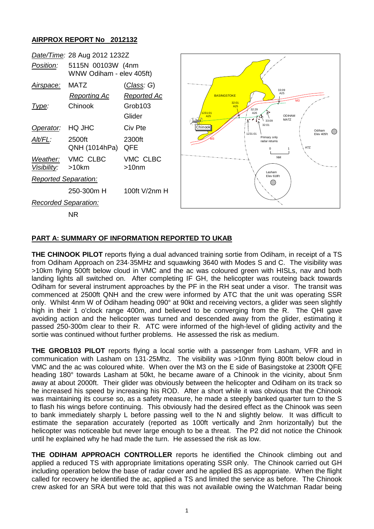## **AIRPROX REPORT No 2012132**



## **PART A: SUMMARY OF INFORMATION REPORTED TO UKAB**

**THE CHINOOK PILOT** reports flying a dual advanced training sortie from Odiham, in receipt of a TS from Odiham Approach on 234·35MHz and squawking 3640 with Modes S and C. The visibility was >10km flying 500ft below cloud in VMC and the ac was coloured green with HISLs, nav and both landing lights all switched on. After completing IF GH, the helicopter was routeing back towards Odiham for several instrument approaches by the PF in the RH seat under a visor. The transit was commenced at 2500ft QNH and the crew were informed by ATC that the unit was operating SSR only. Whilst 4nm W of Odiham heading 090° at 90kt and receiving vectors, a glider was seen slightly high in their 1 o'clock range 400m, and believed to be converging from the R. The QHI gave avoiding action and the helicopter was turned and descended away from the glider, estimating it passed 250-300m clear to their R. ATC were informed of the high-level of gliding activity and the sortie was continued without further problems. He assessed the risk as medium.

**THE GROB103 PILOT** reports flying a local sortie with a passenger from Lasham, VFR and in communication with Lasham on 131·25Mhz. The visibility was >10nm flying 800ft below cloud in VMC and the ac was coloured white. When over the M3 on the E side of Basingstoke at 2300ft QFE heading 180° towards Lasham at 50kt, he became aware of a Chinook in the vicinity, about 5nm away at about 2000ft. Their glider was obviously between the helicopter and Odiham on its track so he increased his speed by increasing his ROD. After a short while it was obvious that the Chinook was maintaining its course so, as a safety measure, he made a steeply banked quarter turn to the S to flash his wings before continuing. This obviously had the desired effect as the Chinook was seen to bank immediately sharply L before passing well to the N and slightly below. It was difficult to estimate the separation accurately (reported as 100ft vertically and 2nm horizontally) but the helicopter was noticeable but never large enough to be a threat. The P2 did not notice the Chinook until he explained why he had made the turn. He assessed the risk as low.

**THE ODIHAM APPROACH CONTROLLER** reports he identified the Chinook climbing out and applied a reduced TS with appropriate limitations operating SSR only. The Chinook carried out GH including operation below the base of radar cover and he applied BS as appropriate. When the flight called for recovery he identified the ac, applied a TS and limited the service as before. The Chinook crew asked for an SRA but were told that this was not available owing the Watchman Radar being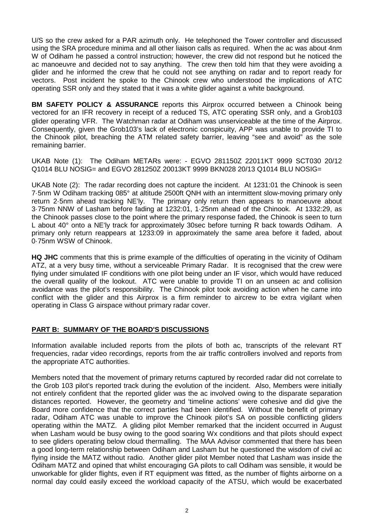U/S so the crew asked for a PAR azimuth only. He telephoned the Tower controller and discussed using the SRA procedure minima and all other liaison calls as required. When the ac was about 4nm W of Odiham he passed a control instruction; however, the crew did not respond but he noticed the ac manoeuvre and decided not to say anything. The crew then told him that they were avoiding a glider and he informed the crew that he could not see anything on radar and to report ready for vectors. Post incident he spoke to the Chinook crew who understood the implications of ATC operating SSR only and they stated that it was a white glider against a white background.

**BM SAFETY POLICY & ASSURANCE** reports this Airprox occurred between a Chinook being vectored for an IFR recovery in receipt of a reduced TS, ATC operating SSR only, and a Grob103 glider operating VFR. The Watchman radar at Odiham was unserviceable at the time of the Airprox. Consequently, given the Grob103's lack of electronic conspicuity, APP was unable to provide TI to the Chinook pilot, breaching the ATM related safety barrier, leaving "see and avoid" as the sole remaining barrier.

UKAB Note (1): The Odiham METARs were: - EGVO 281150Z 22011KT 9999 SCT030 20/12 Q1014 BLU NOSIG= and EGVO 281250Z 20013KT 9999 BKN028 20/13 Q1014 BLU NOSIG=

UKAB Note (2): The radar recording does not capture the incident. At 1231:01 the Chinook is seen 7·5nm W Odiham tracking 085° at altitude 2500ft QNH with an intermittent slow-moving primary only return 2·5nm ahead tracking NE'ly. The primary only return then appears to manoeuvre about 3·75nm NNW of Lasham before fading at 1232:01, 1·25nm ahead of the Chinook. At 1332:29, as the Chinook passes close to the point where the primary response faded, the Chinook is seen to turn L about 40° onto a NE'ly track for approximately 30sec before turning R back towards Odiham. A primary only return reappears at 1233:09 in approximately the same area before it faded, about 0·75nm WSW of Chinook.

**HQ JHC** comments that this is prime example of the difficulties of operating in the vicinity of Odiham ATZ, at a very busy time, without a serviceable Primary Radar. It is recognised that the crew were flying under simulated IF conditions with one pilot being under an IF visor, which would have reduced the overall quality of the lookout. ATC were unable to provide TI on an unseen ac and collision avoidance was the pilot's responsibility. The Chinook pilot took avoiding action when he came into conflict with the glider and this Airprox is a firm reminder to aircrew to be extra vigilant when operating in Class G airspace without primary radar cover.

## **PART B: SUMMARY OF THE BOARD'S DISCUSSIONS**

Information available included reports from the pilots of both ac, transcripts of the relevant RT frequencies, radar video recordings, reports from the air traffic controllers involved and reports from the appropriate ATC authorities.

Members noted that the movement of primary returns captured by recorded radar did not correlate to the Grob 103 pilot's reported track during the evolution of the incident. Also, Members were initially not entirely confident that the reported glider was the ac involved owing to the disparate separation distances reported. However, the geometry and 'timeline actions' were cohesive and did give the Board more confidence that the correct parties had been identified. Without the benefit of primary radar, Odiham ATC was unable to improve the Chinook pilot's SA on possible conflicting gliders operating within the MATZ. A gliding pilot Member remarked that the incident occurred in August when Lasham would be busy owing to the good soaring Wx conditions and that pilots should expect to see gliders operating below cloud thermalling. The MAA Advisor commented that there has been a good long-term relationship between Odiham and Lasham but he questioned the wisdom of civil ac flying inside the MATZ without radio. Another glider pilot Member noted that Lasham was inside the Odiham MATZ and opined that whilst encouraging GA pilots to call Odiham was sensible, it would be unworkable for glider flights, even if RT equipment was fitted, as the number of flights airborne on a normal day could easily exceed the workload capacity of the ATSU, which would be exacerbated